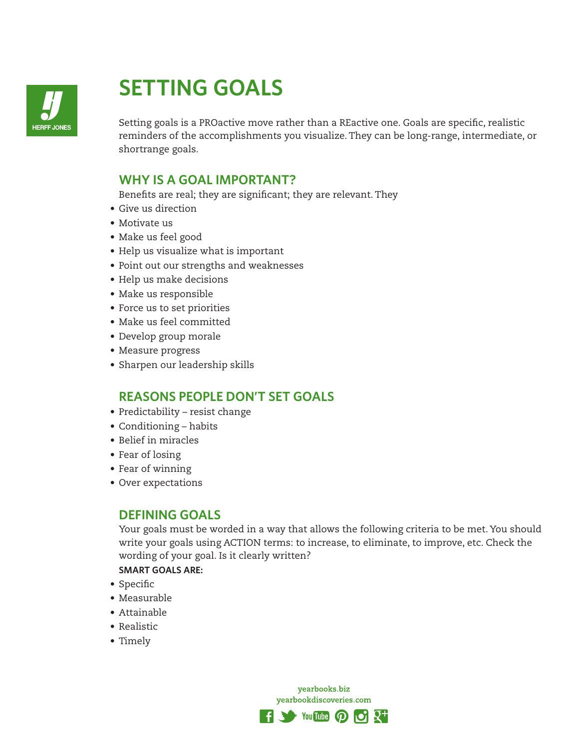

# **SETTING GOALS**

Setting goals is a PROactive move rather than a REactive one. Goals are specific, realistic reminders of the accomplishments you visualize. They can be long-range, intermediate, or shortrange goals.

# **WHY IS A GOAL IMPORTANT?**

Benefits are real; they are significant; they are relevant. They

- Give us direction
- Motivate us
- Make us feel good
- Help us visualize what is important
- Point out our strengths and weaknesses
- Help us make decisions
- Make us responsible
- Force us to set priorities
- Make us feel committed
- Develop group morale
- Measure progress
- Sharpen our leadership skills

# **REASONS PEOPLE DON'T SET GOALS**

- Predictability resist change
- Conditioning habits
- Belief in miracles
- Fear of losing
- Fear of winning
- Over expectations

#### **DEFINING GOALS**

Your goals must be worded in a way that allows the following criteria to be met. You should write your goals using ACTION terms: to increase, to eliminate, to improve, etc. Check the wording of your goal. Is it clearly written?

**SMART GOALS ARE:**

- Specific
- Measurable
- Attainable
- Realistic
- Timely

yearbooks.biz yearbookdiscoveries.com

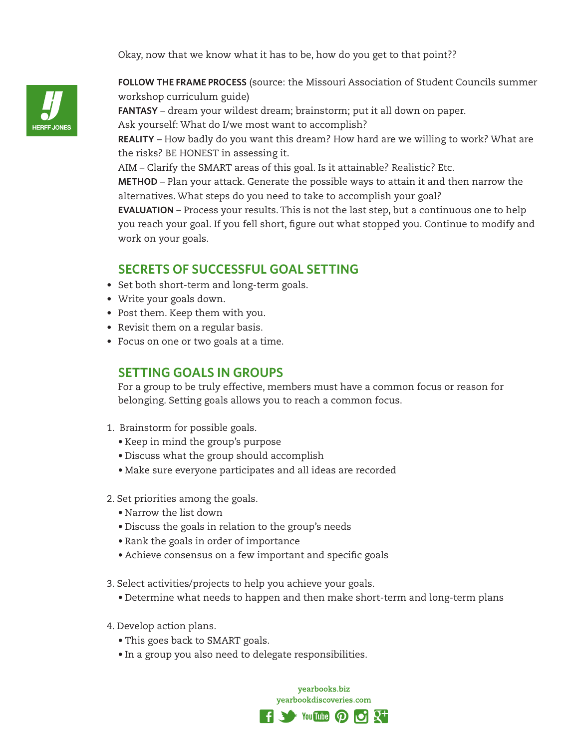Okay, now that we know what it has to be, how do you get to that point??



**FOLLOW THE FRAME PROCESS** (source: the Missouri Association of Student Councils summer workshop curriculum guide)

**FANTASY** – dream your wildest dream; brainstorm; put it all down on paper. Ask yourself: What do I/we most want to accomplish?

**REALITY** – How badly do you want this dream? How hard are we willing to work? What are the risks? BE HONEST in assessing it.

AIM – Clarify the SMART areas of this goal. Is it attainable? Realistic? Etc.

**METHOD** – Plan your attack. Generate the possible ways to attain it and then narrow the alternatives. What steps do you need to take to accomplish your goal?

**EVALUATION** – Process your results. This is not the last step, but a continuous one to help you reach your goal. If you fell short, figure out what stopped you. Continue to modify and work on your goals.

# **SECRETS OF SUCCESSFUL GOAL SETTING**

- Set both short-term and long-term goals.
- Write your goals down.
- Post them. Keep them with you.
- Revisit them on a regular basis.
- Focus on one or two goals at a time.

## **SETTING GOALS IN GROUPS**

For a group to be truly effective, members must have a common focus or reason for belonging. Setting goals allows you to reach a common focus.

- 1. Brainstorm for possible goals.
	- Keep in mind the group's purpose
	- Discuss what the group should accomplish
	- Make sure everyone participates and all ideas are recorded
- 2. Set priorities among the goals.
	- Narrow the list down
	- Discuss the goals in relation to the group's needs
	- Rank the goals in order of importance
	- Achieve consensus on a few important and specific goals
- 3. Select activities/projects to help you achieve your goals.
	- Determine what needs to happen and then make short-term and long-term plans
- 4. Develop action plans.
	- This goes back to SMART goals.
	- In a group you also need to delegate responsibilities.